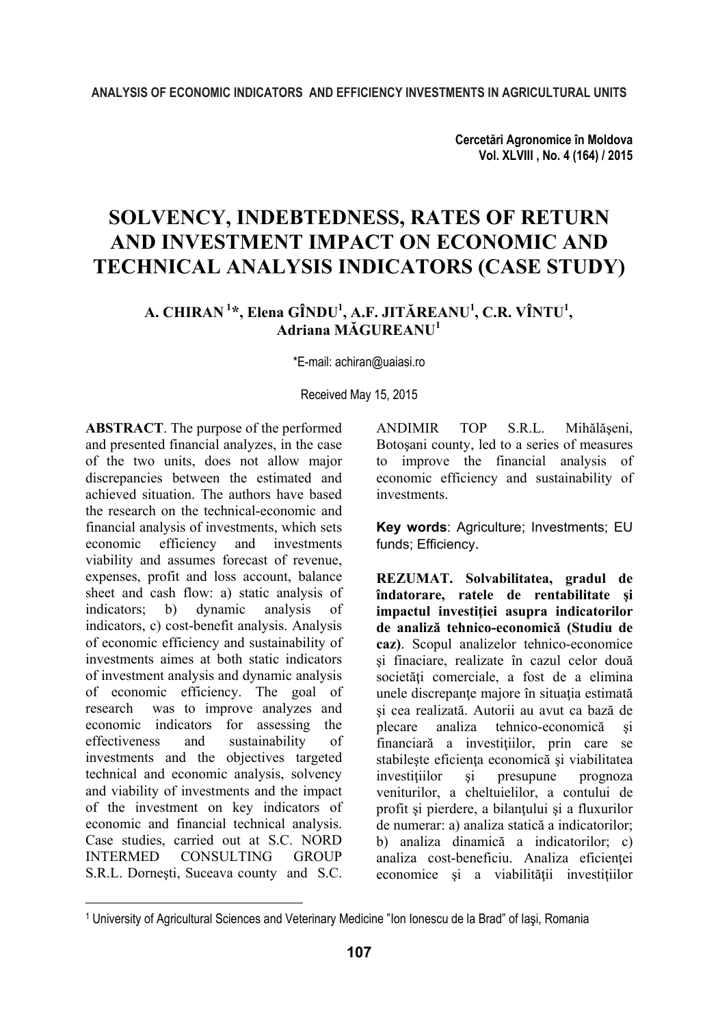**Cercetări Agronomice în Moldova Vol. XLVIII , No. 4 (164) / 2015** 

# **SOLVENCY, INDEBTEDNESS, RATES OF RETURN AND INVESTMENT IMPACT ON ECONOMIC AND TECHNICAL ANALYSIS INDICATORS (CASE STUDY)**

## **A. CHIRAN 1\*, Elena GÎNDU1 , A.F. JITĂREANU<sup>1</sup> , C.R. VÎNTU<sup>1</sup> , Adriana MĂGUREANU<sup>1</sup>**

\*E-mail: achiran@uaiasi.ro

Received May 15, 2015

**ABSTRACT**. The purpose of the performed and presented financial analyzes, in the case of the two units, does not allow major discrepancies between the estimated and achieved situation. The authors have based the research on the technical-economic and financial analysis of investments, which sets economic efficiency and investments viability and assumes forecast of revenue, expenses, profit and loss account, balance sheet and cash flow: a) static analysis of indicators; b) dynamic analysis of indicators, c) cost-benefit analysis. Analysis of economic efficiency and sustainability of investments aimes at both static indicators of investment analysis and dynamic analysis of economic efficiency. The goal of research was to improve analyzes and economic indicators for assessing the effectiveness and sustainability of investments and the objectives targeted technical and economic analysis, solvency and viability of investments and the impact of the investment on key indicators of economic and financial technical analysis. Case studies, carried out at S.C. NORD<br>INTERMED CONSULTING GROUP CONSULTING GROUP S.R.L. Dorneşti, Suceava county and S.C.

l

ANDIMIR TOP S.R.L. Mihălăşeni, Botoşani county, led to a series of measures improve the financial analysis of economic efficiency and sustainability of investments.

**Key words**: Agriculture; Investments; EU funds; Efficiency.

**REZUMAT. Solvabilitatea, gradul de îndatorare, ratele de rentabilitate şi impactul investiţiei asupra indicatorilor de analiză tehnico-economică (Studiu de caz)**. Scopul analizelor tehnico-economice şi finaciare, realizate în cazul celor două societăți comerciale, a fost de a elimina unele discrepanțe majore în situația estimată şi cea realizată. Autorii au avut ca bază de plecare analiza tehnico-economică şi financiară a investitiilor, prin care se stabileşte eficienţa economică şi viabilitatea investitiilor si presupune prognoza veniturilor, a cheltuielilor, a contului de profit şi pierdere, a bilanţului şi a fluxurilor de numerar: a) analiza statică a indicatorilor; b) analiza dinamică a indicatorilor; c) analiza cost-beneficiu. Analiza eficientei economice şi a viabilităţii investiţiilor

<sup>1</sup> University of Agricultural Sciences and Veterinary Medicine "Ion Ionescu de la Brad" of Iaşi, Romania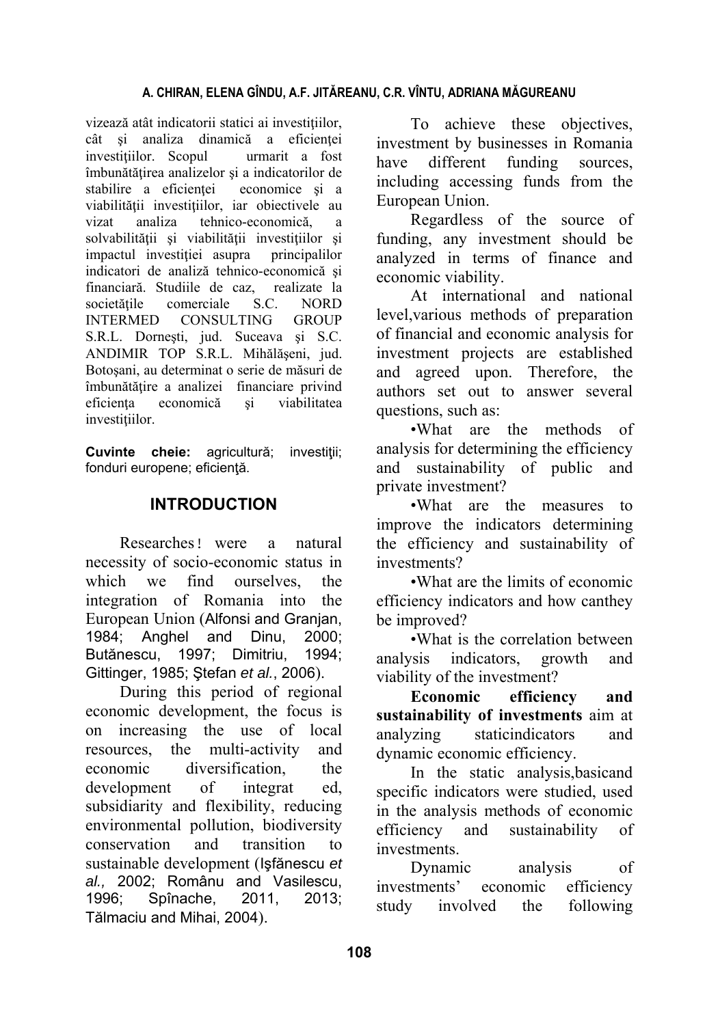## **A. CHIRAN, ELENA GÎNDU, A.F. JITĂREANU, C.R. VÎNTU, ADRIANA MĂGUREANU**

vizează atât indicatorii statici ai investiţiilor, cât și analiza dinamică a eficientei investitiilor. Scopul urmarit a fost îmbunătățirea analizelor și a indicatorilor de stabilire a eficienței economice și a viabilităţii investiţiilor, iar obiectivele au vizat analiza tehnico-economică, a solvabilităţii şi viabilităţii investiţiilor şi impactul investiţiei asupra principalilor indicatori de analiză tehnico-economică şi financiară. Studiile de caz, realizate la societățile comerciale S.C. NORD INTERMED CONSULTING GROUP S.R.L. Dorneşti, jud. Suceava şi S.C. ANDIMIR TOP S.R.L. Mihălăşeni, jud. Botoşani, au determinat o serie de măsuri de îmbunătățire a analizei financiare privind eficienta economică și viabilitatea investitiilor.

**Cuvinte cheie:** agricultură; investiții; fonduri europene; eficiență.

# **INTRODUCTION**

Researches! were a natural necessity of socio-economic status in which we find ourselves, the integration of Romania into the European Union (Alfonsi and Granjan, 1984; Anghel and Dinu, 2000; Butănescu, 1997; Dimitriu, 1994; Gittinger, 1985; Ştefan *et al.*, 2006).

During this period of regional economic development, the focus is on increasing the use of local resources, the multi-activity and economic diversification, the development of integrat ed, subsidiarity and flexibility, reducing environmental pollution, biodiversity conservation and transition to sustainable development (Işfănescu *et al.,* 2002; Românu and Vasilescu, 1996; Spînache, 2011, 2013; Tălmaciu and Mihai, 2004).

To achieve these objectives, investment by businesses in Romania have different funding sources, including accessing funds from the European Union.

Regardless of the source of funding, any investment should be analyzed in terms of finance and economic viability.

At international and national level,various methods of preparation of financial and economic analysis for investment projects are established and agreed upon. Therefore, the authors set out to answer several questions, such as:

•What are the methods of analysis for determining the efficiency and sustainability of public and private investment?

•What are the measures to improve the indicators determining the efficiency and sustainability of investments?

•What are the limits of economic efficiency indicators and how canthey be improved?

•What is the correlation between analysis indicators, growth and viability of the investment?

**Economic efficiency and sustainability of investments** aim at analyzing staticindicators and dynamic economic efficiency.

In the static analysis,basicand specific indicators were studied, used in the analysis methods of economic efficiency and sustainability of investments.

Dynamic analysis of investments' economic efficiency study involved the following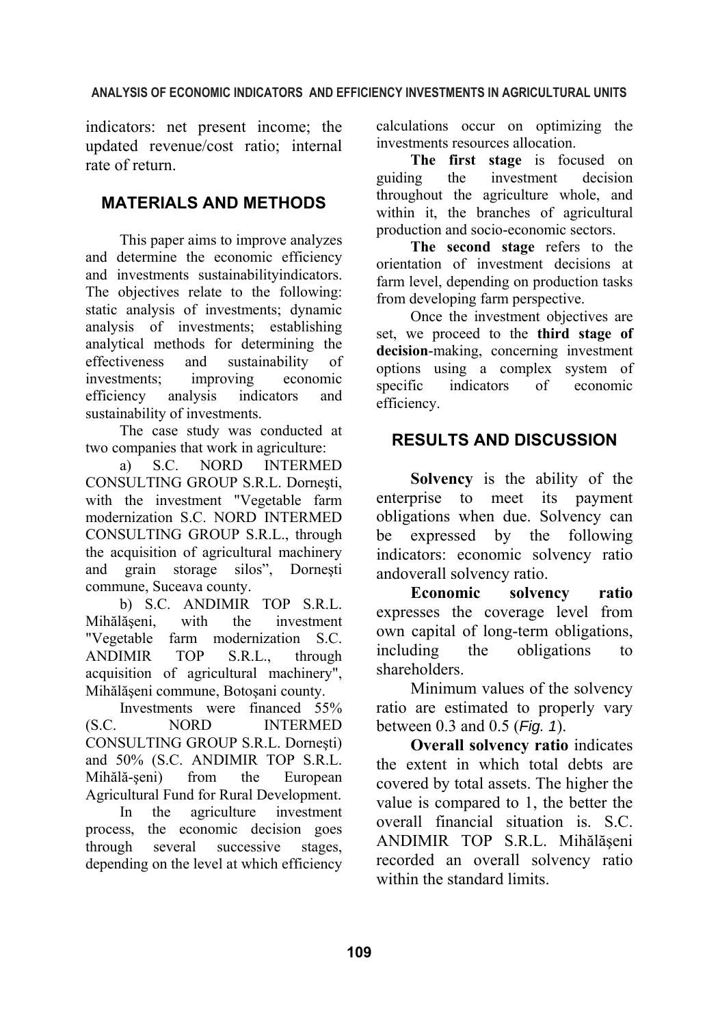indicators: net present income; the updated revenue/cost ratio; internal rate of return.

# **MATERIALS AND METHODS**

This paper aims to improve analyzes and determine the economic efficiency and investments sustainabilityindicators. The objectives relate to the following: static analysis of investments; dynamic analysis of investments; establishing analytical methods for determining the effectiveness and sustainability of investments; improving economic efficiency analysis indicators and sustainability of investments.

The case study was conducted at two companies that work in agriculture:

a) S.C. NORD INTERMED CONSULTING GROUP S.R.L. Dornesti with the investment "Vegetable farm modernization S.C. NORD INTERMED CONSULTING GROUP S.R.L., through the acquisition of agricultural machinery and grain storage silos", Dorneşti commune, Suceava county.

b) S.C. ANDIMIR TOP S.R.L. Mihălăşeni, with the investment "Vegetable farm modernization S.C. ANDIMIR TOP S.R.L., through acquisition of agricultural machinery", Mihălăşeni commune, Botoşani county.

Investments were financed 55% (S.C. NORD INTERMED CONSULTING GROUP S.R.L. Dorneşti) and 50% (S.C. ANDIMIR TOP S.R.L. Mihălă-şeni) from the European Agricultural Fund for Rural Development.

In the agriculture investment process, the economic decision goes through several successive stages, depending on the level at which efficiency calculations occur on optimizing the investments resources allocation.

**The first stage** is focused on guiding the investment decision throughout the agriculture whole, and within it, the branches of agricultural production and socio-economic sectors.

**The second stage** refers to the orientation of investment decisions at farm level, depending on production tasks from developing farm perspective.

Once the investment objectives are set, we proceed to the **third stage of decision**-making, concerning investment options using a complex system of specific indicators of economic efficiency.

# **RESULTS AND DISCUSSION**

**Solvency** is the ability of the enterprise to meet its payment obligations when due. Solvency can be expressed by the following indicators: economic solvency ratio andoverall solvency ratio.

**Economic solvency ratio** expresses the coverage level from own capital of long-term obligations, including the obligations to shareholders.

Minimum values of the solvency ratio are estimated to properly vary between 0.3 and 0.5 (*Fig. 1*).

**Overall solvency ratio** indicates the extent in which total debts are covered by total assets. The higher the value is compared to 1, the better the overall financial situation is. S.C. ANDIMIR TOP S.R.L. Mihălăşeni recorded an overall solvency ratio within the standard limits.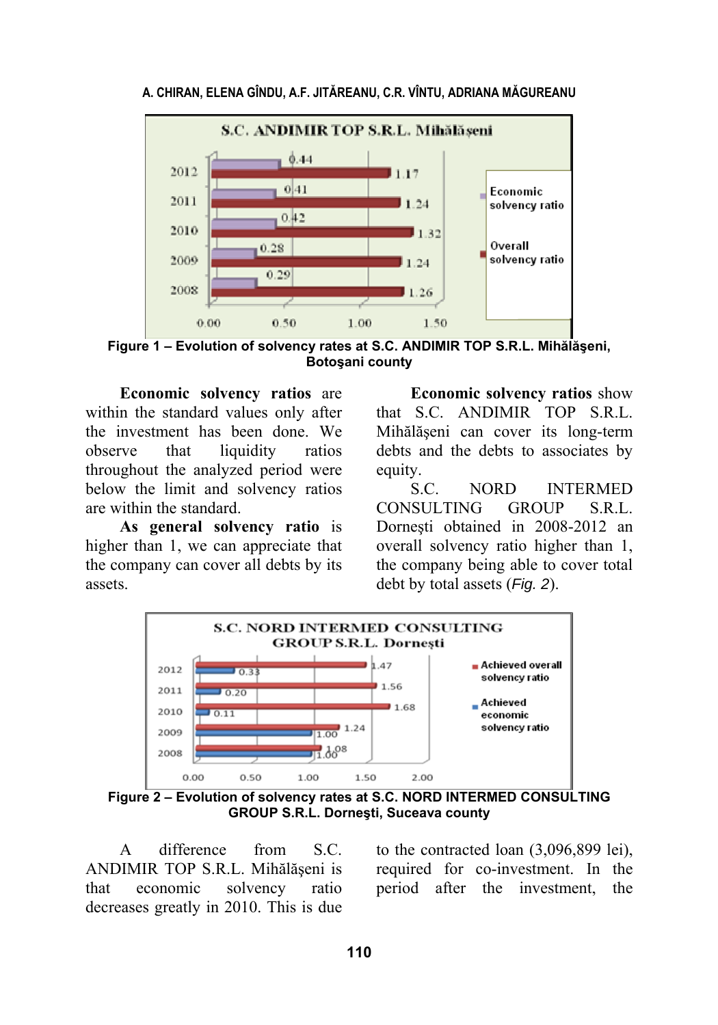

**A. CHIRAN, ELENA GÎNDU, A.F. JITĂREANU, C.R. VÎNTU, ADRIANA MĂGUREANU** 

**Figure 1 – Evolution of solvency rates at S.C. ANDIMIR TOP S.R.L. Mihălăşeni, Botoşani county** 

**Economic solvency ratios** are within the standard values only after the investment has been done. We observe that liquidity ratios throughout the analyzed period were below the limit and solvency ratios are within the standard.

**As general solvency ratio** is higher than 1, we can appreciate that the company can cover all debts by its assets.

**Economic solvency ratios** show that S.C. ANDIMIR TOP S.R.L. Mihălăşeni can cover its long-term debts and the debts to associates by equity.

S.C. NORD INTERMED CONSULTING GROUP S.R.L. Dorneşti obtained in 2008-2012 an overall solvency ratio higher than 1, the company being able to cover total debt by total assets (*Fig. 2*).



**Figure 2 – Evolution of solvency rates at S.C. NORD INTERMED CONSULTING GROUP S.R.L. Dorneşti, Suceava county** 

A difference from S.C. ANDIMIR TOP S.R.L. Mihălăşeni is that economic solvency ratio decreases greatly in 2010. This is due

to the contracted loan (3,096,899 lei), required for co-investment. In the period after the investment, the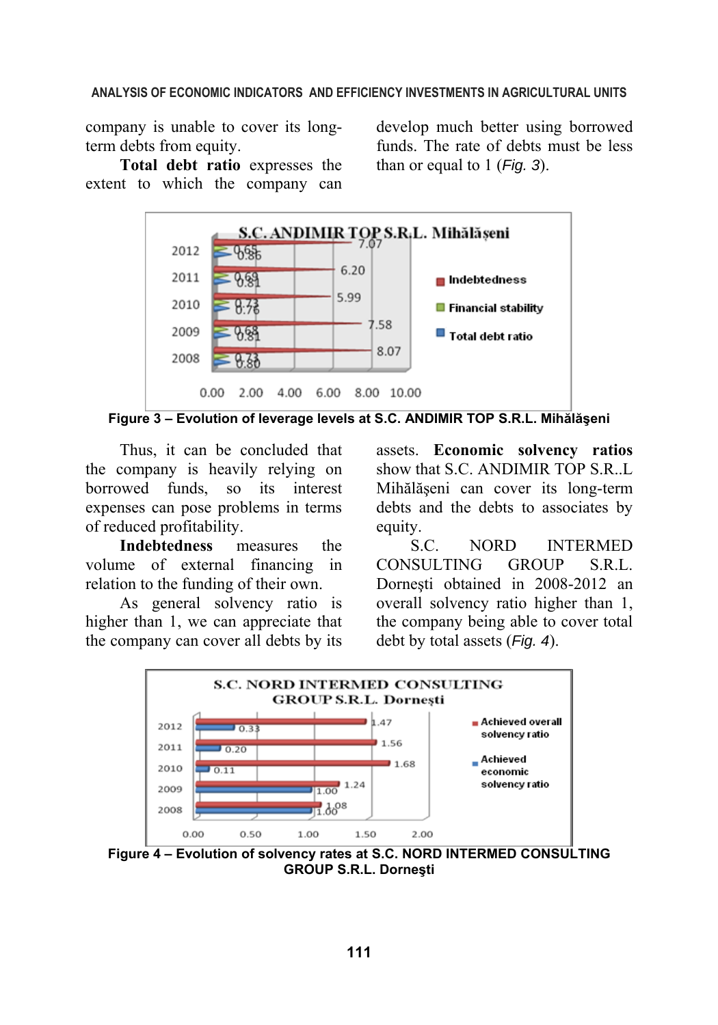company is unable to cover its longterm debts from equity.

**Total debt ratio** expresses the extent to which the company can develop much better using borrowed funds. The rate of debts must be less than or equal to 1 (*Fig. 3*).



**Figure 3 – Evolution of leverage levels at S.C. ANDIMIR TOP S.R.L. Mihălăşeni** 

Thus, it can be concluded that the company is heavily relying on borrowed funds, so its interest expenses can pose problems in terms of reduced profitability.

**Indebtedness** measures the volume of external financing in relation to the funding of their own.

As general solvency ratio is higher than 1, we can appreciate that the company can cover all debts by its

assets. **Economic solvency ratios** show that S.C. ANDIMIR TOP S.R..L Mihălăşeni can cover its long-term debts and the debts to associates by equity.

S.C. NORD INTERMED CONSULTING GROUP S.R.L. Dorneşti obtained in 2008-2012 an overall solvency ratio higher than 1, the company being able to cover total debt by total assets (*Fig. 4*).



**GROUP S.R.L. Dorneşti**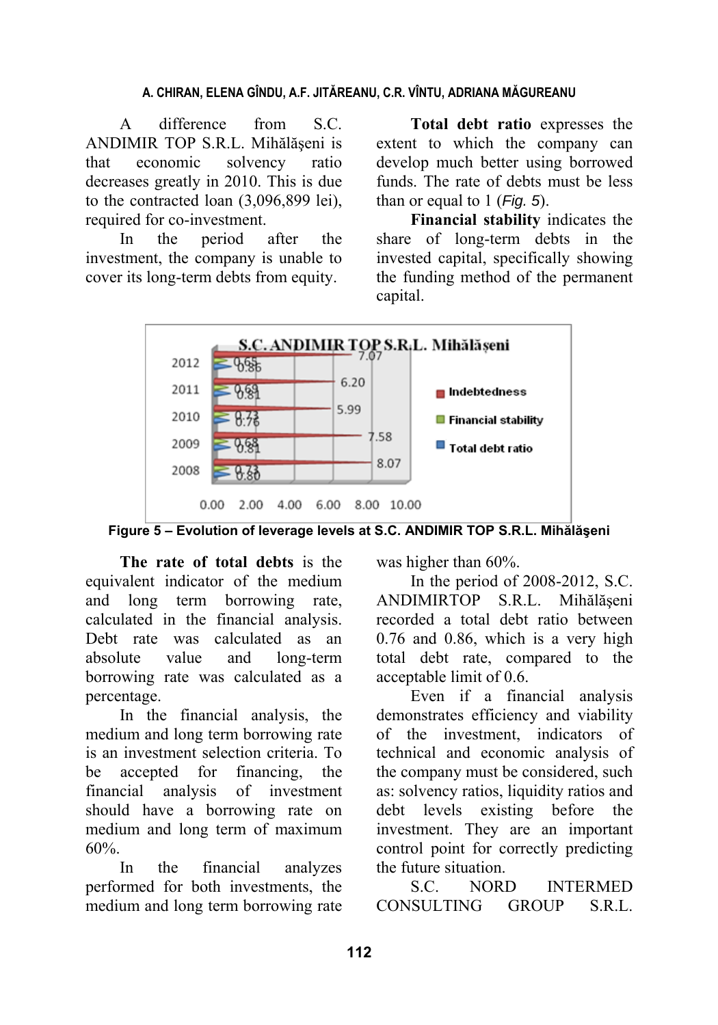## **A. CHIRAN, ELENA GÎNDU, A.F. JITĂREANU, C.R. VÎNTU, ADRIANA MĂGUREANU**

A difference from S.C. ANDIMIR TOP S.R.L. Mihălăşeni is that economic solvency ratio decreases greatly in 2010. This is due to the contracted loan (3,096,899 lei), required for co-investment.

In the period after the investment, the company is unable to cover its long-term debts from equity.

**Total debt ratio** expresses the extent to which the company can develop much better using borrowed funds. The rate of debts must be less than or equal to 1 (*Fig. 5*).

**Financial stability** indicates the share of long-term debts in the invested capital, specifically showing the funding method of the permanent capital.



**Figure 5 – Evolution of leverage levels at S.C. ANDIMIR TOP S.R.L. Mihălăşeni** 

**The rate of total debts** is the equivalent indicator of the medium and long term borrowing rate, calculated in the financial analysis. Debt rate was calculated as an absolute value and long-term borrowing rate was calculated as a percentage.

In the financial analysis, the medium and long term borrowing rate is an investment selection criteria. To be accepted for financing, the financial analysis of investment should have a borrowing rate on medium and long term of maximum 60%.

In the financial analyzes performed for both investments, the medium and long term borrowing rate was higher than 60%.

In the period of 2008-2012, S.C. ANDIMIRTOP S.R.L. Mihălăşeni recorded a total debt ratio between 0.76 and 0.86, which is a very high total debt rate, compared to the acceptable limit of 0.6.

Even if a financial analysis demonstrates efficiency and viability of the investment, indicators of technical and economic analysis of the company must be considered, such as: solvency ratios, liquidity ratios and debt levels existing before the investment. They are an important control point for correctly predicting the future situation.

S.C. NORD INTERMED CONSULTING GROUP S.R.L.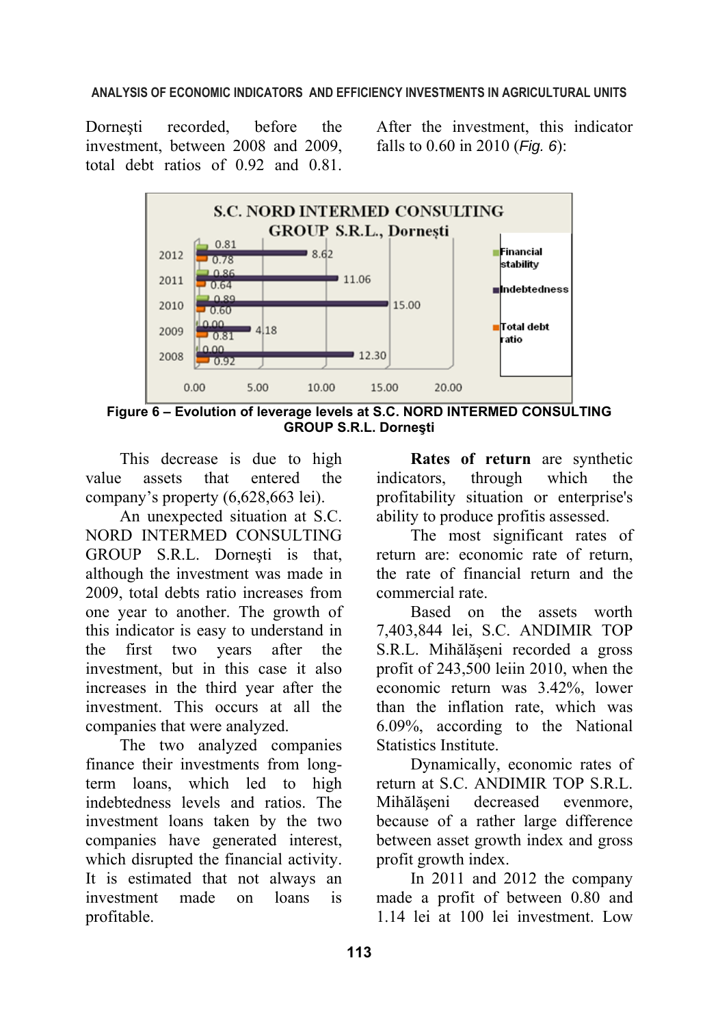Dorneşti recorded, before the investment, between 2008 and 2009, total debt ratios of 0.92 and 0.81. After the investment, this indicator falls to 0.60 in 2010 (*Fig. 6*):



**Figure 6 – Evolution of leverage levels at S.C. NORD INTERMED CONSULTING GROUP S.R.L. Dorneşti** 

This decrease is due to high value assets that entered the company's property (6,628,663 lei).

An unexpected situation at S.C. NORD INTERMED CONSULTING GROUP S.R.L. Dornesti is that, although the investment was made in 2009, total debts ratio increases from one year to another. The growth of this indicator is easy to understand in the first two years after the investment, but in this case it also increases in the third year after the investment. This occurs at all the companies that were analyzed.

The two analyzed companies finance their investments from longterm loans, which led to high indebtedness levels and ratios. The investment loans taken by the two companies have generated interest, which disrupted the financial activity. It is estimated that not always an investment made on loans is profitable.

**Rates of return** are synthetic indicators, through which the profitability situation or enterprise's ability to produce profitis assessed.

The most significant rates of return are: economic rate of return, the rate of financial return and the commercial rate.

Based on the assets worth 7,403,844 lei, S.C. ANDIMIR TOP S.R.L. Mihălăşeni recorded a gross profit of 243,500 leiin 2010, when the economic return was 3.42%, lower than the inflation rate, which was 6.09%, according to the National Statistics Institute.

Dynamically, economic rates of return at S.C. ANDIMIR TOP S.R.L. Mihălăşeni decreased evenmore, because of a rather large difference between asset growth index and gross profit growth index.

In 2011 and 2012 the company made a profit of between 0.80 and 1.14 lei at 100 lei investment. Low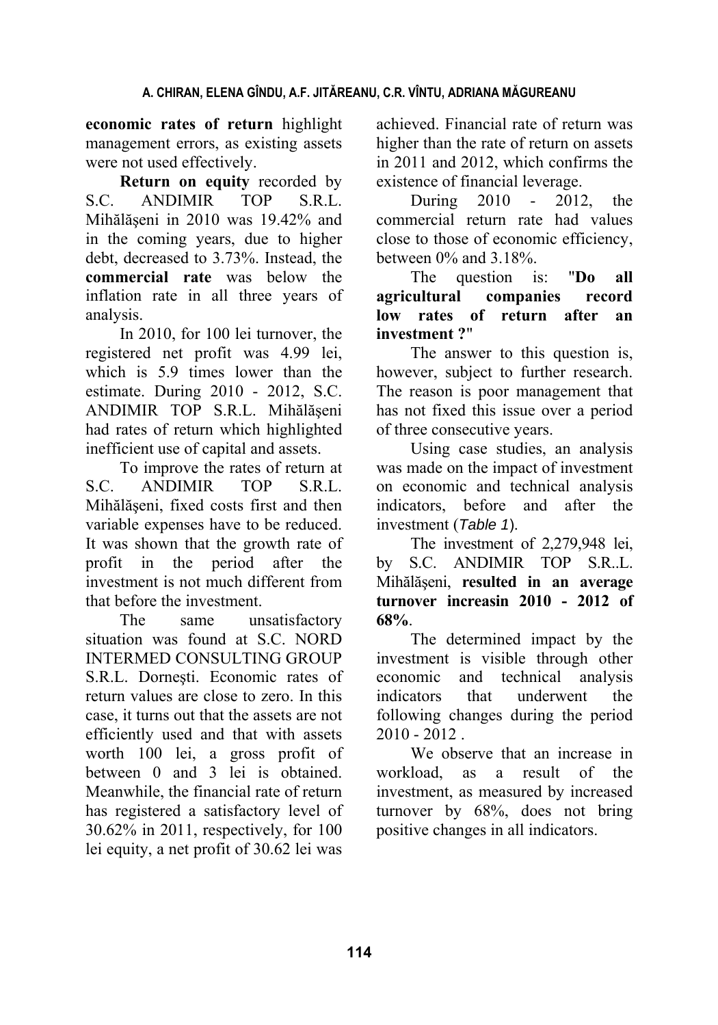**economic rates of return** highlight management errors, as existing assets were not used effectively.

**Return on equity** recorded by S.C. ANDIMIR TOP S.R.L. Mihălăşeni in 2010 was 19.42% and in the coming years, due to higher debt, decreased to 3.73%. Instead, the **commercial rate** was below the inflation rate in all three years of analysis.

In 2010, for 100 lei turnover, the registered net profit was 4.99 lei, which is 5.9 times lower than the estimate. During 2010 - 2012, S.C. ANDIMIR TOP S.R.L. Mihălăşeni had rates of return which highlighted inefficient use of capital and assets.

To improve the rates of return at S.C. ANDIMIR TOP S.R.L. Mihălăşeni, fixed costs first and then variable expenses have to be reduced. It was shown that the growth rate of profit in the period after the investment is not much different from that before the investment.

The same unsatisfactory situation was found at S.C. NORD INTERMED CONSULTING GROUP S.R.L. Dorneşti. Economic rates of return values are close to zero. In this case, it turns out that the assets are not efficiently used and that with assets worth 100 lei, a gross profit of between 0 and 3 lei is obtained. Meanwhile, the financial rate of return has registered a satisfactory level of 30.62% in 2011, respectively, for 100 lei equity, a net profit of 30.62 lei was

achieved. Financial rate of return was higher than the rate of return on assets in 2011 and 2012, which confirms the existence of financial leverage.

During 2010 - 2012, the commercial return rate had values close to those of economic efficiency, between 0% and 3.18%.

The question is: "**Do all agricultural companies record low rates of return after an investment ?**"

The answer to this question is, however, subject to further research. The reason is poor management that has not fixed this issue over a period of three consecutive years.

Using case studies, an analysis was made on the impact of investment on economic and technical analysis indicators, before and after the investment (*Table 1*).

The investment of 2,279,948 lei, by S.C. ANDIMIR TOP S.R..L. Mihălăşeni, **resulted in an average turnover increasin 2010 - 2012 of 68%**.

The determined impact by the investment is visible through other economic and technical analysis indicators that underwent the following changes during the period  $2010 - 2012$ .

We observe that an increase in workload, as a result of the investment, as measured by increased turnover by 68%, does not bring positive changes in all indicators.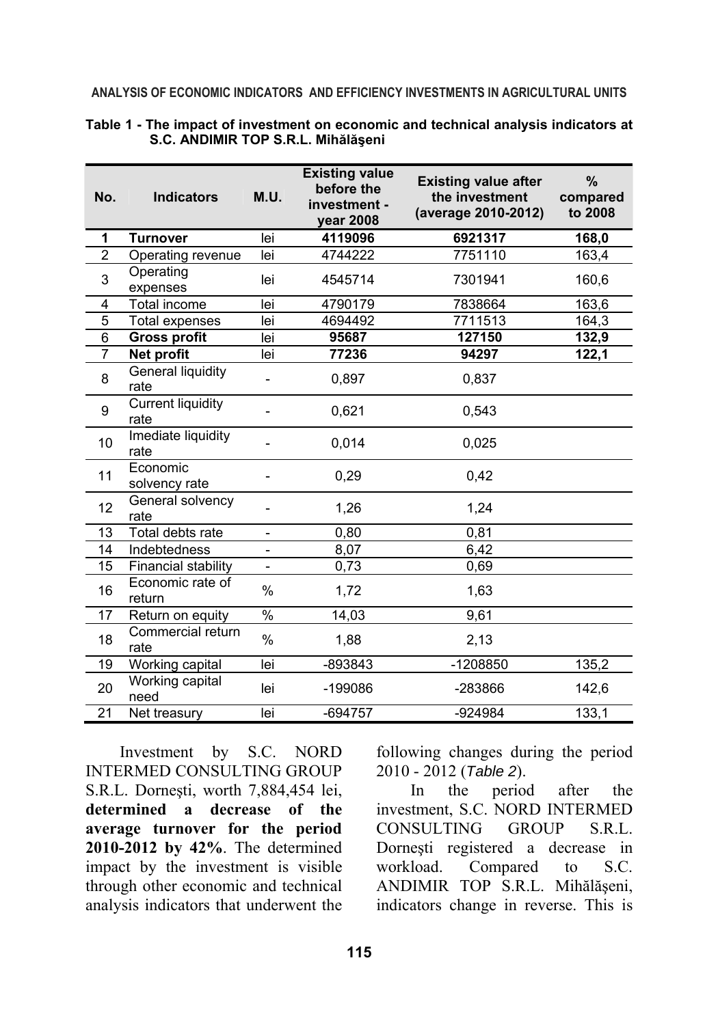| No.            | <b>Indicators</b>                | M.U.                         | <b>Existing value</b><br>before the<br>investment -<br>year 2008 | <b>Existing value after</b><br>the investment<br>(average 2010-2012) | %<br>compared<br>to 2008 |
|----------------|----------------------------------|------------------------------|------------------------------------------------------------------|----------------------------------------------------------------------|--------------------------|
| 1              | Turnover                         | lei                          | 4119096                                                          | 6921317                                                              | 168,0                    |
| $\overline{c}$ | Operating revenue                | lei                          | 4744222                                                          | 7751110                                                              | 163,4                    |
| 3              | Operating<br>expenses            | lei                          | 4545714                                                          | 7301941                                                              | 160,6                    |
| $\overline{4}$ | Total income                     | lei                          | 4790179                                                          | 7838664                                                              | 163,6                    |
| 5              | Total expenses                   | lei                          | 4694492                                                          | 7711513                                                              | 164,3                    |
| 6              | <b>Gross profit</b>              | lei                          | 95687                                                            | 127150                                                               | 132,9                    |
| 7              | Net profit                       | lei                          | 77236                                                            | 94297                                                                | 122,1                    |
| 8              | General liquidity<br>rate        |                              | 0,897                                                            | 0,837                                                                |                          |
| 9              | <b>Current liquidity</b><br>rate |                              | 0,621                                                            | 0,543                                                                |                          |
| 10             | Imediate liquidity<br>rate       |                              | 0,014                                                            | 0,025                                                                |                          |
| 11             | Economic<br>solvency rate        |                              | 0,29                                                             | 0,42                                                                 |                          |
| 12             | General solvency<br>rate         |                              | 1,26                                                             | 1,24                                                                 |                          |
| 13             | Total debts rate                 | $\overline{\phantom{a}}$     | 0,80                                                             | 0,81                                                                 |                          |
| 14             | Indebtedness                     | $\overline{a}$               | 8,07                                                             | 6,42                                                                 |                          |
| 15             | Financial stability              | $\qquad \qquad \blacksquare$ | 0,73                                                             | 0,69                                                                 |                          |
| 16             | Economic rate of<br>return       | $\%$                         | 1,72                                                             | 1,63                                                                 |                          |
| 17             | Return on equity                 | $\frac{1}{2}$                | 14,03                                                            | 9,61                                                                 |                          |
| 18             | Commercial return<br>rate        | %                            | 1,88                                                             | 2,13                                                                 |                          |
| 19             | Working capital                  | lei                          | -893843                                                          | -1208850                                                             | 135,2                    |
| 20             | Working capital<br>need          | lei                          | -199086                                                          | -283866                                                              | 142,6                    |
| 21             | Net treasury                     | lei                          | $-694757$                                                        | $-924984$                                                            | 133.1                    |

#### **Table 1 - The impact of investment on economic and technical analysis indicators at S.C. ANDIMIR TOP S.R.L. Mihălăşeni**

Investment by S.C. NORD INTERMED CONSULTING GROUP S.R.L. Dorneşti, worth 7,884,454 lei, **determined a decrease of the average turnover for the period 2010-2012 by 42%**. The determined impact by the investment is visible through other economic and technical analysis indicators that underwent the

following changes during the period 2010 - 2012 (*Table 2*).

In the period after the investment, S.C. NORD INTERMED CONSULTING GROUP S.R.L. Dorneşti registered a decrease in workload. Compared to S.C. ANDIMIR TOP S.R.L. Mihălăşeni, indicators change in reverse. This is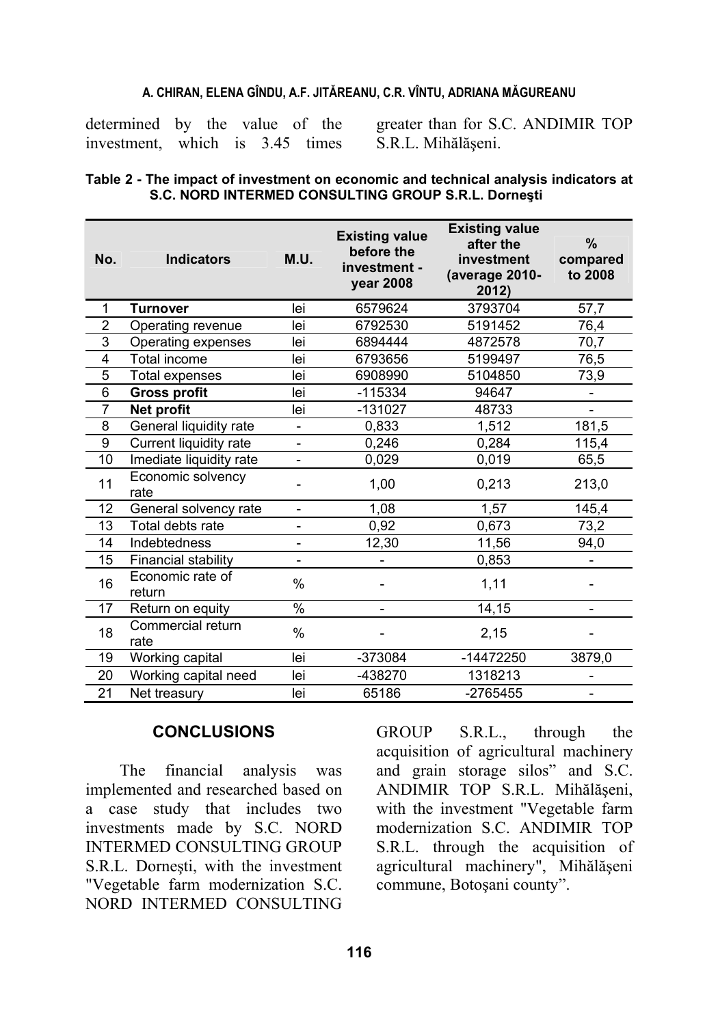#### **A. CHIRAN, ELENA GÎNDU, A.F. JITĂREANU, C.R. VÎNTU, ADRIANA MĂGUREANU**

determined by the value of the investment, which is 3.45 times

greater than for S.C. ANDIMIR TOP S.R.L. Mihălăşeni.

| No.                     | <b>Indicators</b>          | M.U.                     | <b>Existing value</b><br>before the<br>investment -<br>year 2008 | <b>Existing value</b><br>after the<br>investment<br>(average 2010-<br>2012) | $\frac{9}{6}$<br>compared<br>to 2008 |
|-------------------------|----------------------------|--------------------------|------------------------------------------------------------------|-----------------------------------------------------------------------------|--------------------------------------|
| 1                       | <b>Turnover</b>            | lei                      | 6579624                                                          | 3793704                                                                     | 57,7                                 |
| $\overline{\mathbf{c}}$ | Operating revenue          | lei                      | 6792530                                                          | 5191452                                                                     | 76,4                                 |
| 3                       | Operating expenses         | lei                      | 6894444                                                          | 4872578                                                                     | 70,7                                 |
| 4                       | Total income               | lei                      | 6793656                                                          | 5199497                                                                     | 76,5                                 |
| 5                       | Total expenses             | lei                      | 6908990                                                          | 5104850                                                                     | 73,9                                 |
| $\overline{6}$          | <b>Gross profit</b>        | lei                      | $-115334$                                                        | 94647                                                                       | $\overline{\phantom{0}}$             |
| $\overline{7}$          | <b>Net profit</b>          | lei                      | $-131027$                                                        | 48733                                                                       | $\overline{a}$                       |
| 8                       | General liquidity rate     | $\overline{\phantom{0}}$ | 0.833                                                            | 1,512                                                                       | 181,5                                |
| 9                       | Current liquidity rate     | $\overline{a}$           | 0,246                                                            | 0,284                                                                       | 115,4                                |
| 10                      | Imediate liquidity rate    | $\overline{\phantom{0}}$ | 0,029                                                            | 0,019                                                                       | 65,5                                 |
| 11                      | Economic solvency<br>rate  |                          | 1,00                                                             | 0,213                                                                       | 213,0                                |
| 12                      | General solvency rate      | $\overline{a}$           | 1,08                                                             | 1,57                                                                        | 145,4                                |
| 13                      | Total debts rate           | $\overline{\phantom{0}}$ | 0,92                                                             | 0,673                                                                       | 73,2                                 |
| 14                      | Indebtedness               | $\overline{a}$           | 12,30                                                            | 11,56                                                                       | 94,0                                 |
| 15                      | <b>Financial stability</b> | $\overline{\phantom{0}}$ |                                                                  | 0,853                                                                       |                                      |
| 16                      | Economic rate of<br>return | %                        |                                                                  | 1,11                                                                        |                                      |
| 17                      | Return on equity           | $\%$                     | $\overline{a}$                                                   | 14,15                                                                       |                                      |
| 18                      | Commercial return<br>rate  | $\%$                     |                                                                  | 2,15                                                                        |                                      |
| 19                      | Working capital            | lei                      | -373084                                                          | $-14472250$                                                                 | 3879,0                               |
| 20                      | Working capital need       | lei                      | -438270                                                          | 1318213                                                                     | -                                    |
| 21                      | Net treasury               | lei                      | 65186                                                            | $-2765455$                                                                  | $\overline{\phantom{a}}$             |

| Table 2 - The impact of investment on economic and technical analysis indicators at |
|-------------------------------------------------------------------------------------|
| S.C. NORD INTERMED CONSULTING GROUP S.R.L. Dornesti                                 |

## **CONCLUSIONS**

The financial analysis was implemented and researched based on a case study that includes two investments made by S.C. NORD INTERMED CONSULTING GROUP S.R.L. Dorneşti, with the investment "Vegetable farm modernization S.C. NORD INTERMED CONSULTING

GROUP S.R.L., through the acquisition of agricultural machinery and grain storage silos" and S.C. ANDIMIR TOP S.R.L. Mihălăşeni, with the investment "Vegetable farm modernization S.C. ANDIMIR TOP S.R.L. through the acquisition of agricultural machinery", Mihălăşeni commune, Botoşani county".